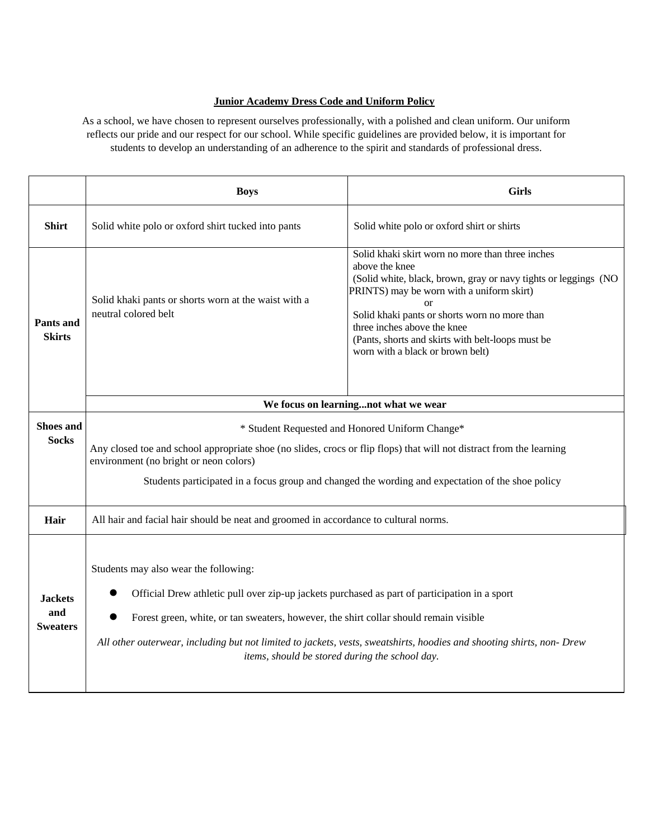## **Junior Academy Dress Code and Uniform Policy**

As a school, we have chosen to represent ourselves professionally, with a polished and clean uniform. Our uniform reflects our pride and our respect for our school. While specific guidelines are provided below, it is important for students to develop an understanding of an adherence to the spirit and standards of professional dress.

|                                          | <b>Boys</b>                                                                                                                                                                                                                                                                                                                                                                                                | <b>Girls</b>                                                                                                                                                                                                                                                                                                                                                            |
|------------------------------------------|------------------------------------------------------------------------------------------------------------------------------------------------------------------------------------------------------------------------------------------------------------------------------------------------------------------------------------------------------------------------------------------------------------|-------------------------------------------------------------------------------------------------------------------------------------------------------------------------------------------------------------------------------------------------------------------------------------------------------------------------------------------------------------------------|
| <b>Shirt</b>                             | Solid white polo or oxford shirt tucked into pants                                                                                                                                                                                                                                                                                                                                                         | Solid white polo or oxford shirt or shirts                                                                                                                                                                                                                                                                                                                              |
| Pants and<br><b>Skirts</b>               | Solid khaki pants or shorts worn at the waist with a<br>neutral colored belt                                                                                                                                                                                                                                                                                                                               | Solid khaki skirt worn no more than three inches<br>above the knee<br>(Solid white, black, brown, gray or navy tights or leggings (NO<br>PRINTS) may be worn with a uniform skirt)<br>$\alpha$<br>Solid khaki pants or shorts worn no more than<br>three inches above the knee<br>(Pants, shorts and skirts with belt-loops must be<br>worn with a black or brown belt) |
|                                          | We focus on learningnot what we wear                                                                                                                                                                                                                                                                                                                                                                       |                                                                                                                                                                                                                                                                                                                                                                         |
| <b>Shoes and</b>                         | * Student Requested and Honored Uniform Change*<br>Any closed toe and school appropriate shoe (no slides, crocs or flip flops) that will not distract from the learning                                                                                                                                                                                                                                    |                                                                                                                                                                                                                                                                                                                                                                         |
| <b>Socks</b>                             |                                                                                                                                                                                                                                                                                                                                                                                                            |                                                                                                                                                                                                                                                                                                                                                                         |
|                                          | environment (no bright or neon colors)                                                                                                                                                                                                                                                                                                                                                                     |                                                                                                                                                                                                                                                                                                                                                                         |
|                                          | Students participated in a focus group and changed the wording and expectation of the shoe policy                                                                                                                                                                                                                                                                                                          |                                                                                                                                                                                                                                                                                                                                                                         |
| Hair                                     | All hair and facial hair should be neat and groomed in accordance to cultural norms.                                                                                                                                                                                                                                                                                                                       |                                                                                                                                                                                                                                                                                                                                                                         |
| <b>Jackets</b><br>and<br><b>Sweaters</b> | Students may also wear the following:<br>Official Drew athletic pull over zip-up jackets purchased as part of participation in a sport<br>Forest green, white, or tan sweaters, however, the shirt collar should remain visible<br>All other outerwear, including but not limited to jackets, vests, sweatshirts, hoodies and shooting shirts, non- Drew<br>items, should be stored during the school day. |                                                                                                                                                                                                                                                                                                                                                                         |